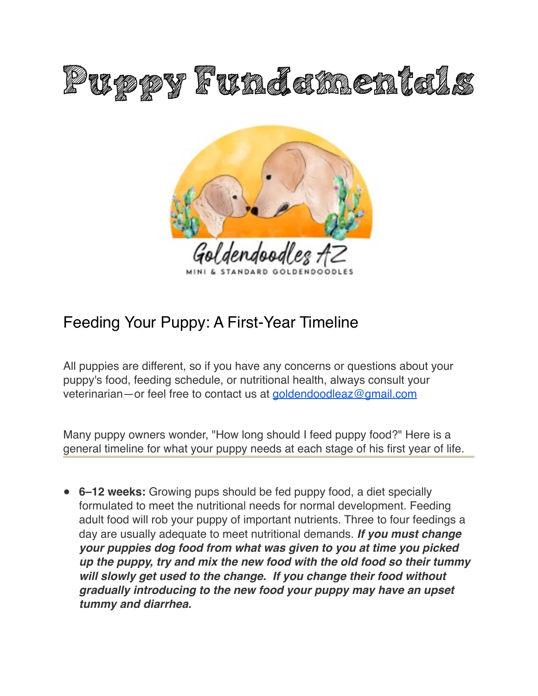



# Feeding Your Puppy: A First-Year Timeline

All puppies are different, so if you have any concerns or questions about your puppy's food, feeding schedule, or nutritional health, always consult your veterinarian—or feel free to contact us at [goldendoodleaz@gmail.com](mailto:goldendoodleaz@gmail.com?subject=)

Many puppy owners wonder, "How long should I feed puppy food?" Here is a general timeline for what your puppy needs at each stage of his first year of life.

" **6–12 weeks:** Growing pups should be fed puppy food, a diet specially formulated to meet the nutritional needs for normal development. Feeding adult food will rob your puppy of important nutrients. Three to four feedings a day are usually adequate to meet nutritional demands. *If you must change your puppies dog food from what was given to you at time you picked up the puppy, try and mix the new food with the old food so their tummy will slowly get used to the change. If you change their food without gradually introducing to the new food your puppy may have an upset tummy and diarrhea.*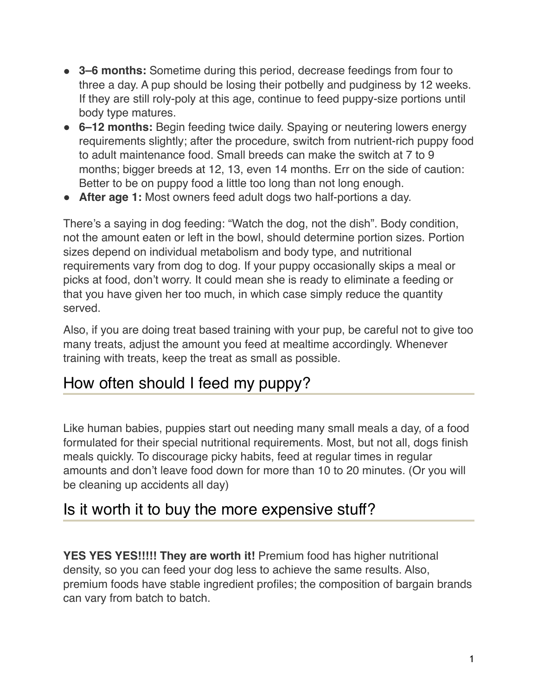- " **3–6 months:** Sometime during this period, decrease feedings from four to three a day. A pup should be losing their potbelly and pudginess by 12 weeks. If they are still roly-poly at this age, continue to feed puppy-size portions until body type matures.
- " **6–12 months:** Begin feeding twice daily. Spaying or neutering lowers energy requirements slightly; after the procedure, switch from nutrient-rich puppy food to adult maintenance food. Small breeds can make the switch at 7 to 9 months; bigger breeds at 12, 13, even 14 months. Err on the side of caution: Better to be on puppy food a little too long than not long enough.
- After age 1: Most owners feed adult dogs two half-portions a day.

There's a saying in dog feeding: "Watch the dog, not the dish". Body condition, not the amount eaten or left in the bowl, should determine portion sizes. Portion sizes depend on individual metabolism and body type, and nutritional requirements vary from dog to dog. If your puppy occasionally skips a meal or picks at food, don't worry. It could mean she is ready to eliminate a feeding or that you have given her too much, in which case simply reduce the quantity served.

Also, if you are doing treat based training with your pup, be careful not to give too many treats, adjust the amount you feed at mealtime accordingly. Whenever training with treats, keep the treat as small as possible.

## How often should I feed my puppy?

Like human babies, puppies start out needing many small meals a day, of a food formulated for their special nutritional requirements. Most, but not all, dogs finish meals quickly. To discourage picky habits, feed at regular times in regular amounts and don't leave food down for more than 10 to 20 minutes. (Or you will be cleaning up accidents all day)

### Is it worth it to buy the more expensive stuff?

**YES YES YES!!!!! They are worth it!** Premium food has higher nutritional density, so you can feed your dog less to achieve the same results. Also, premium foods have stable ingredient profiles; the composition of bargain brands can vary from batch to batch.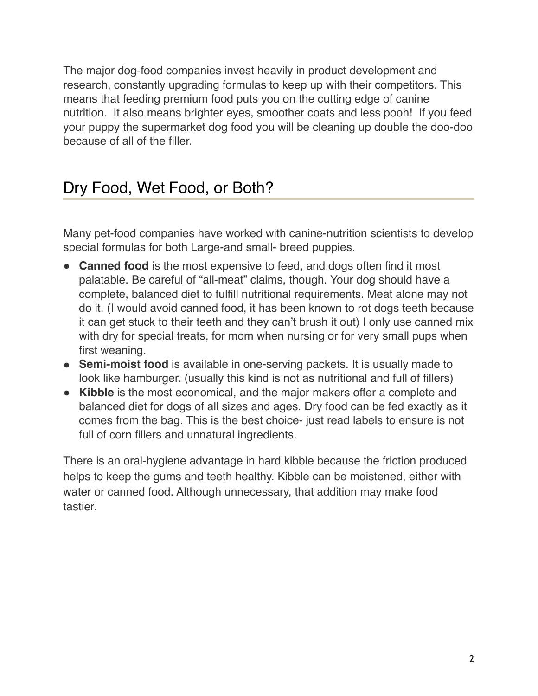The major dog-food companies invest heavily in product development and research, constantly upgrading formulas to keep up with their competitors. This means that feeding premium food puts you on the cutting edge of canine nutrition. It also means brighter eyes, smoother coats and less pooh! If you feed your puppy the supermarket dog food you will be cleaning up double the doo-doo because of all of the filler.

## Dry Food, Wet Food, or Both?

Many pet-food companies have worked with canine-nutrition scientists to develop special formulas for both Large-and small- breed puppies.

- **Canned food** is the most expensive to feed, and dogs often find it most palatable. Be careful of "all-meat" claims, though. Your dog should have a complete, balanced diet to fulfill nutritional requirements. Meat alone may not do it. (I would avoid canned food, it has been known to rot dogs teeth because it can get stuck to their teeth and they can't brush it out) I only use canned mix with dry for special treats, for mom when nursing or for very small pups when first weaning.
- **Semi-moist food** is available in one-serving packets. It is usually made to look like hamburger. (usually this kind is not as nutritional and full of fillers)
- **Kibble** is the most economical, and the major makers offer a complete and balanced diet for dogs of all sizes and ages. Dry food can be fed exactly as it comes from the bag. This is the best choice- just read labels to ensure is not full of corn fillers and unnatural ingredients.

There is an oral-hygiene advantage in hard kibble because the friction produced helps to keep the gums and teeth healthy. Kibble can be moistened, either with water or canned food. Although unnecessary, that addition may make food tastier.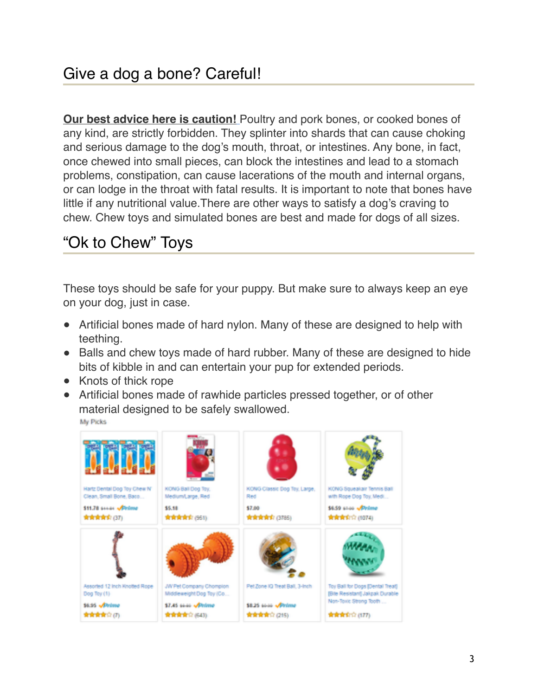**Our best advice here is caution!** Poultry and pork bones, or cooked bones of any kind, are strictly forbidden. They splinter into shards that can cause choking and serious damage to the dog's mouth, throat, or intestines. Any bone, in fact, once chewed into small pieces, can block the intestines and lead to a stomach problems, constipation, can cause lacerations of the mouth and internal organs, or can lodge in the throat with fatal results. It is important to note that bones have little if any nutritional value.There are other ways to satisfy a dog's craving to chew. Chew toys and simulated bones are best and made for dogs of all sizes.

# "Ok to Chew" Toys

These toys should be safe for your puppy. But make sure to always keep an eye on your dog, just in case.

- Artificial bones made of hard nylon. Many of these are designed to help with teething.
- Balls and chew toys made of hard rubber. Many of these are designed to hide bits of kibble in and can entertain your pup for extended periods.
- Knots of thick rope
- Artificial bones made of rawhide particles pressed together, or of other material designed to be safely swallowed.

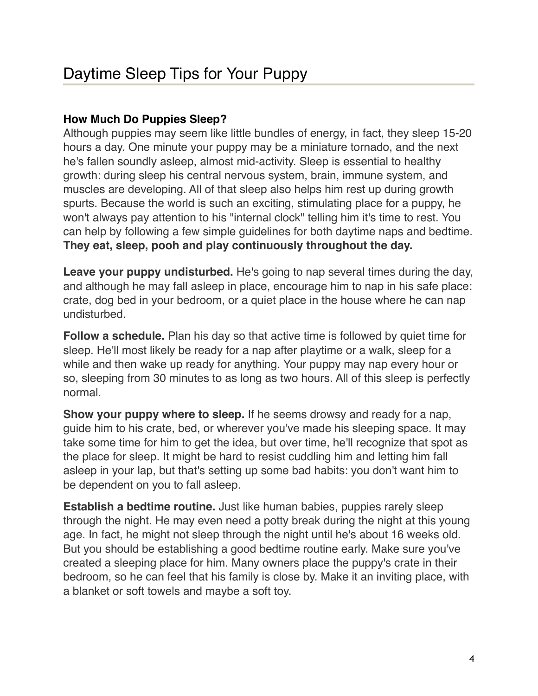#### **How Much Do Puppies Sleep?**

Although puppies may seem like little bundles of energy, in fact, they sleep 15-20 hours a day. One minute your puppy may be a miniature tornado, and the next he's fallen soundly asleep, almost mid-activity. Sleep is essential to healthy growth: during sleep his central nervous system, brain, immune system, and muscles are developing. All of that sleep also helps him rest up during growth spurts. Because the world is such an exciting, stimulating place for a puppy, he won't always pay attention to his "internal clock" telling him it's time to rest. You can help by following a few simple guidelines for both daytime naps and bedtime. **They eat, sleep, pooh and play continuously throughout the day.**

**Leave your puppy undisturbed.** He's going to nap several times during the day, and although he may fall asleep in place, encourage him to nap in his safe place: crate, dog bed in your bedroom, or a quiet place in the house where he can nap undisturbed.

**Follow a schedule.** Plan his day so that active time is followed by quiet time for sleep. He'll most likely be ready for a nap after playtime or a walk, sleep for a while and then wake up ready for anything. Your puppy may nap every hour or so, sleeping from 30 minutes to as long as two hours. All of this sleep is perfectly normal.

**Show your puppy where to sleep.** If he seems drowsy and ready for a nap, guide him to his crate, bed, or wherever you've made his sleeping space. It may take some time for him to get the idea, but over time, he'll recognize that spot as the place for sleep. It might be hard to resist cuddling him and letting him fall asleep in your lap, but that's setting up some bad habits: you don't want him to be dependent on you to fall asleep.

**Establish a bedtime routine.** Just like human babies, puppies rarely sleep through the night. He may even need a potty break during the night at this young age. In fact, he might not sleep through the night until he's about 16 weeks old. But you should be establishing a good bedtime routine early. Make sure you've created a sleeping place for him. Many owners place the puppy's crate in their bedroom, so he can feel that his family is close by. Make it an inviting place, with a blanket or soft towels and maybe a soft toy.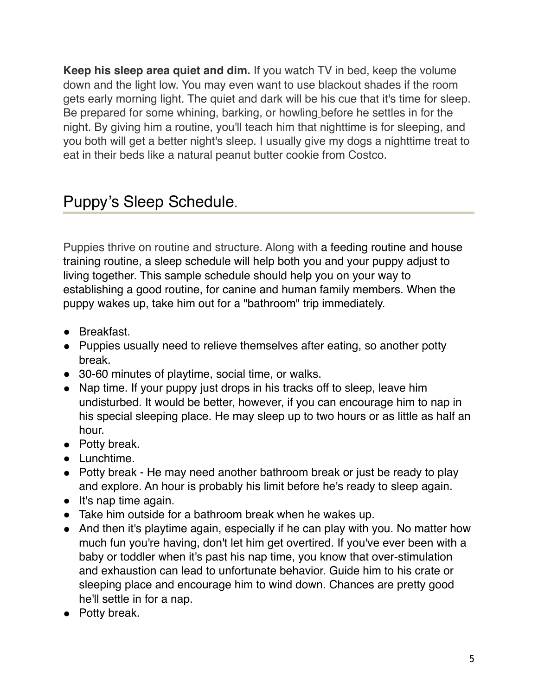**Keep his sleep area quiet and dim.** If you watch TV in bed, keep the volume down and the light low. You may even want to use blackout shades if the room gets early morning light. The quiet and dark will be his cue that it's time for sleep. Be prepared for some whining, barking, or howling before he settles in for the night. By giving him a routine, you'll teach him that nighttime is for sleeping, and you both will get a better night's sleep. I usually give my dogs a nighttime treat to eat in their beds like a natural peanut butter cookie from Costco.

## Puppy's Sleep Schedule.

Puppies thrive on routine and structure. Along with a [feeding routine](http://www.akc.org/learn/family-dog/puppy-feeding-fundamentals/) and house [training routine, a sleep schedule will help both you and your puppy adjust to](http://www.akc.org/learn/akc-training/puppy-potty-training-timeline/)  living together. This sample schedule should help you on your way to establishing a good routine, for canine and human family members. When the puppy wakes up, take him out for a "bathroom" trip immediately.

- Breakfast.
- Puppies usually need to relieve themselves after eating, so another potty break.
- 30-60 minutes of playtime, [social time](http://www.akc.org/learn/dog-health/puppy-socialization/), or walks.
- Nap time. If your puppy just drops in his tracks off to sleep, leave him undisturbed. It would be better, however, if you can encourage him to nap in his special sleeping place. He may sleep up to two hours or as little as half an hour.
- Potty break.
- Lunchtime.
- Potty break He may need another bathroom break or just be ready to play and explore. An hour is probably his limit before he's ready to sleep again.
- $\bullet$  It's nap time again.
- Take him outside for a bathroom break when he wakes up.
- And then [it's playtime again,](http://www.akc.org/learn/family.../games-people-play-dog-indoors/) especially if he can play with you. No matter how much fun you're having, don't let him get overtired. If you've ever been with a baby or toddler when it's past his nap time, you know that over-stimulation and exhaustion can lead to unfortunate behavior. Guide him to his crate or sleeping place and encourage him to wind down. Chances are pretty good he'll settle in for a nap.
- Potty break.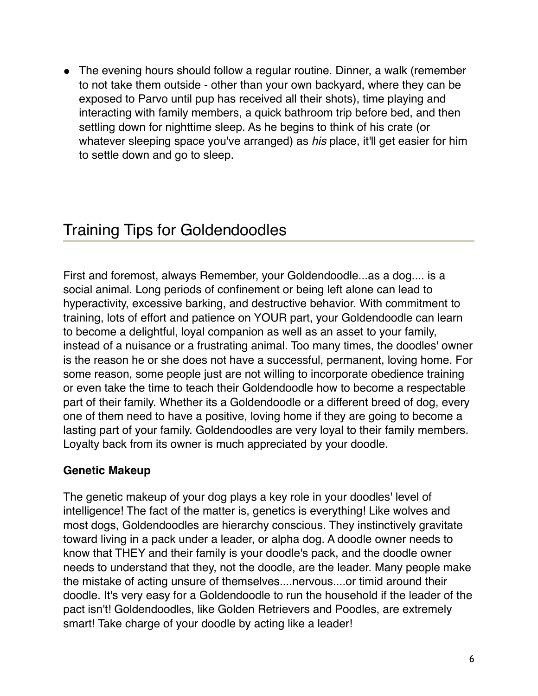• The evening hours should follow a regular routine. Dinner, a walk (remember to not take them outside - other than your own backyard, where they can be exposed to Parvo until pup has received all their shots), time playing and interacting with family members, a quick bathroom trip before bed, and then settling down for nighttime sleep. As he begins to think of his crate (or whatever sleeping space you've arranged) as *his* place, it'll get easier for him to settle down and go to sleep.

## Training Tips for Goldendoodles

First and foremost, always Remember, your Goldendoodle...as a dog.... is a social animal. Long periods of confinement or being left alone can lead to hyperactivity, excessive barking, and destructive behavior. With commitment to training, lots of effort and patience on YOUR part, your Goldendoodle can learn to become a delightful, loyal companion as well as an asset to your family, instead of a nuisance or a frustrating animal. Too many times, the doodles' owner is the reason he or she does not have a successful, permanent, loving home. For some reason, some people just are not willing to incorporate obedience training or even take the time to teach their Goldendoodle how to become a respectable part of their family. Whether its a Goldendoodle or a different breed of dog, every one of them need to have a positive, loving home if they are going to become a lasting part of your family. Goldendoodles are very loyal to their family members. Loyalty back from its owner is much appreciated by your doodle.

#### **Genetic Makeup**

The genetic makeup of your dog plays a key role in your doodles' level of intelligence! The fact of the matter is, genetics is everything! Like wolves and most dogs, Goldendoodles are hierarchy conscious. They instinctively gravitate toward living in a pack under a leader, or alpha dog. A doodle owner needs to know that THEY and their family is your doodle's pack, and the doodle owner needs to understand that they, not the doodle, are the leader. Many people make the mistake of acting unsure of themselves....nervous....or timid around their doodle. It's very easy for a Goldendoodle to run the household if the leader of the pact isn't! Goldendoodles, like Golden Retrievers and Poodles, are extremely smart! Take charge of your doodle by acting like a leader!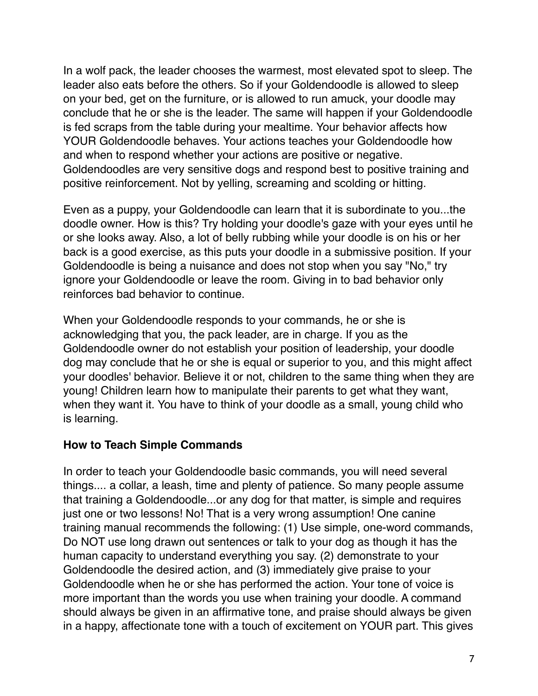In a wolf pack, the leader chooses the warmest, most elevated spot to sleep. The leader also eats before the others. So if your Goldendoodle is allowed to sleep on your bed, get on the furniture, or is allowed to run amuck, your doodle may conclude that he or she is the leader. The same will happen if your Goldendoodle is fed scraps from the table during your mealtime. Your behavior affects how YOUR Goldendoodle behaves. Your actions teaches your Goldendoodle how and when to respond whether your actions are positive or negative. Goldendoodles are very sensitive dogs and respond best to positive training and positive reinforcement. Not by yelling, screaming and scolding or hitting.

Even as a puppy, your Goldendoodle can learn that it is subordinate to you...the doodle owner. How is this? Try holding your doodle's gaze with your eyes until he or she looks away. Also, a lot of belly rubbing while your doodle is on his or her back is a good exercise, as this puts your doodle in a submissive position. If your Goldendoodle is being a nuisance and does not stop when you say "No," try ignore your Goldendoodle or leave the room. Giving in to bad behavior only reinforces bad behavior to continue.

When your Goldendoodle responds to your commands, he or she is acknowledging that you, the pack leader, are in charge. If you as the Goldendoodle owner do not establish your position of leadership, your doodle dog may conclude that he or she is equal or superior to you, and this might affect your doodles' behavior. Believe it or not, children to the same thing when they are young! Children learn how to manipulate their parents to get what they want, when they want it. You have to think of your doodle as a small, young child who is learning.

#### **How to Teach Simple Commands**

In order to teach your Goldendoodle basic commands, you will need several things.... a collar, a leash, time and plenty of patience. So many people assume that training a Goldendoodle...or any dog for that matter, is simple and requires just one or two lessons! No! That is a very wrong assumption! One canine training manual recommends the following: (1) Use simple, one-word commands, Do NOT use long drawn out sentences or talk to your dog as though it has the human capacity to understand everything you say. (2) demonstrate to your Goldendoodle the desired action, and (3) immediately give praise to your Goldendoodle when he or she has performed the action. Your tone of voice is more important than the words you use when training your doodle. A command should always be given in an affirmative tone, and praise should always be given in a happy, affectionate tone with a touch of excitement on YOUR part. This gives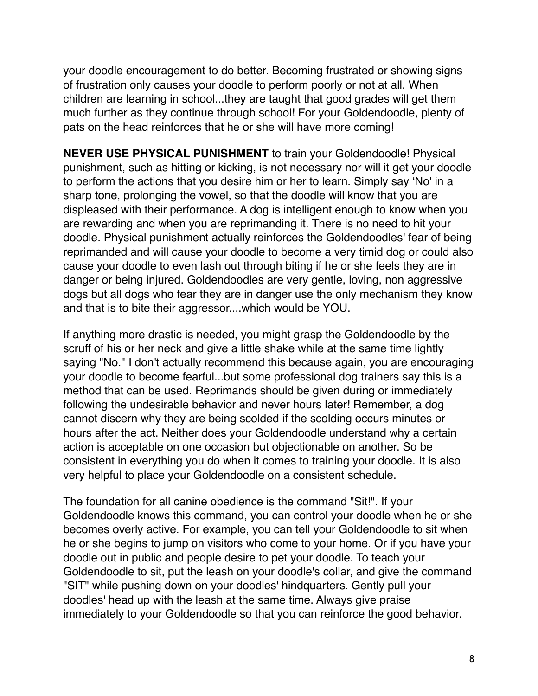your doodle encouragement to do better. Becoming frustrated or showing signs of frustration only causes your doodle to perform poorly or not at all. When children are learning in school...they are taught that good grades will get them much further as they continue through school! For your Goldendoodle, plenty of pats on the head reinforces that he or she will have more coming!

**NEVER USE PHYSICAL PUNISHMENT** to train your Goldendoodle! Physical punishment, such as hitting or kicking, is not necessary nor will it get your doodle to perform the actions that you desire him or her to learn. Simply say 'No' in a sharp tone, prolonging the vowel, so that the doodle will know that you are displeased with their performance. A dog is intelligent enough to know when you are rewarding and when you are reprimanding it. There is no need to hit your doodle. Physical punishment actually reinforces the Goldendoodles' fear of being reprimanded and will cause your doodle to become a very timid dog or could also cause your doodle to even lash out through biting if he or she feels they are in danger or being injured. Goldendoodles are very gentle, loving, non aggressive dogs but all dogs who fear they are in danger use the only mechanism they know and that is to bite their aggressor....which would be YOU.

If anything more drastic is needed, you might grasp the Goldendoodle by the scruff of his or her neck and give a little shake while at the same time lightly saying "No." I don't actually recommend this because again, you are encouraging your doodle to become fearful...but some professional dog trainers say this is a method that can be used. Reprimands should be given during or immediately following the undesirable behavior and never hours later! Remember, a dog cannot discern why they are being scolded if the scolding occurs minutes or hours after the act. Neither does your Goldendoodle understand why a certain action is acceptable on one occasion but objectionable on another. So be consistent in everything you do when it comes to training your doodle. It is also very helpful to place your Goldendoodle on a consistent schedule.

The foundation for all canine obedience is the command "Sit!". If your Goldendoodle knows this command, you can control your doodle when he or she becomes overly active. For example, you can tell your Goldendoodle to sit when he or she begins to jump on visitors who come to your home. Or if you have your doodle out in public and people desire to pet your doodle. To teach your Goldendoodle to sit, put the leash on your doodle's collar, and give the command "SIT" while pushing down on your doodles' hindquarters. Gently pull your doodles' head up with the leash at the same time. Always give praise immediately to your Goldendoodle so that you can reinforce the good behavior.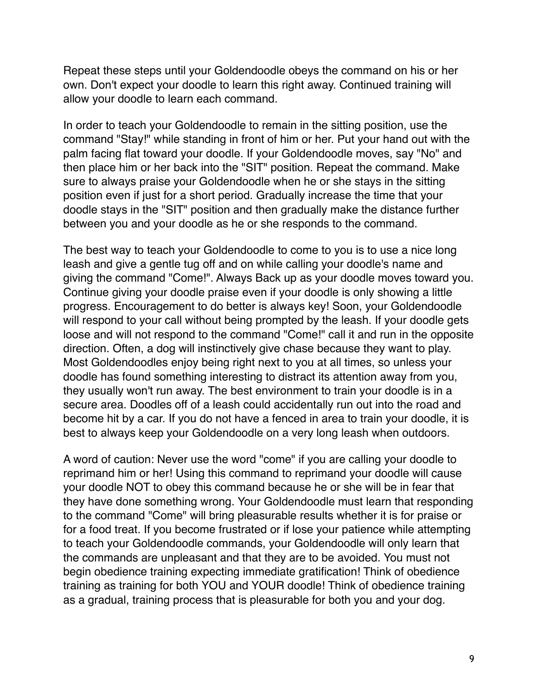Repeat these steps until your Goldendoodle obeys the command on his or her own. Don't expect your doodle to learn this right away. Continued training will allow your doodle to learn each command.

In order to teach your Goldendoodle to remain in the sitting position, use the command "Stay!" while standing in front of him or her. Put your hand out with the palm facing flat toward your doodle. If your Goldendoodle moves, say "No" and then place him or her back into the "SIT" position. Repeat the command. Make sure to always praise your Goldendoodle when he or she stays in the sitting position even if just for a short period. Gradually increase the time that your doodle stays in the "SIT" position and then gradually make the distance further between you and your doodle as he or she responds to the command.

The best way to teach your Goldendoodle to come to you is to use a nice long leash and give a gentle tug off and on while calling your doodle's name and giving the command "Come!". Always Back up as your doodle moves toward you. Continue giving your doodle praise even if your doodle is only showing a little progress. Encouragement to do better is always key! Soon, your Goldendoodle will respond to your call without being prompted by the leash. If your doodle gets loose and will not respond to the command "Come!" call it and run in the opposite direction. Often, a dog will instinctively give chase because they want to play. Most Goldendoodles enjoy being right next to you at all times, so unless your doodle has found something interesting to distract its attention away from you, they usually won't run away. The best environment to train your doodle is in a secure area. Doodles off of a leash could accidentally run out into the road and become hit by a car. If you do not have a fenced in area to train your doodle, it is best to always keep your Goldendoodle on a very long leash when outdoors.

A word of caution: Never use the word "come" if you are calling your doodle to reprimand him or her! Using this command to reprimand your doodle will cause your doodle NOT to obey this command because he or she will be in fear that they have done something wrong. Your Goldendoodle must learn that responding to the command "Come" will bring pleasurable results whether it is for praise or for a food treat. If you become frustrated or if lose your patience while attempting to teach your Goldendoodle commands, your Goldendoodle will only learn that the commands are unpleasant and that they are to be avoided. You must not begin obedience training expecting immediate gratification! Think of obedience training as training for both YOU and YOUR doodle! Think of obedience training as a gradual, training process that is pleasurable for both you and your dog.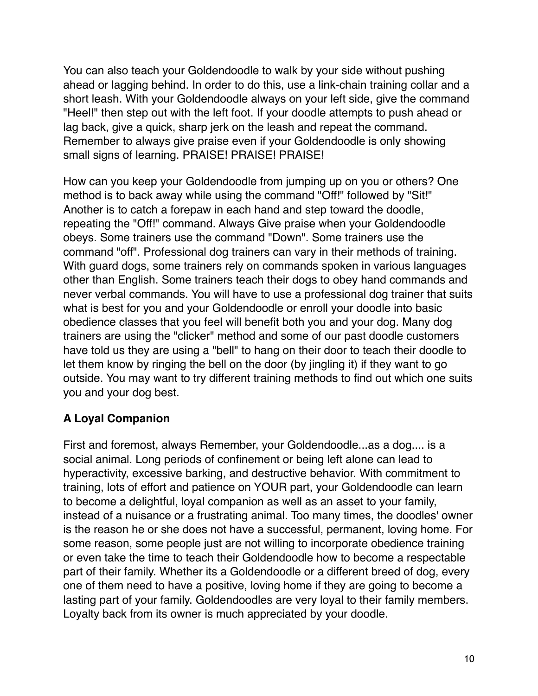You can also teach your Goldendoodle to walk by your side without pushing ahead or lagging behind. In order to do this, use a link-chain training collar and a short leash. With your Goldendoodle always on your left side, give the command "Heel!" then step out with the left foot. If your doodle attempts to push ahead or lag back, give a quick, sharp jerk on the leash and repeat the command. Remember to always give praise even if your Goldendoodle is only showing small signs of learning. PRAISE! PRAISE! PRAISE!

How can you keep your Goldendoodle from jumping up on you or others? One method is to back away while using the command "Off!" followed by "Sit!" Another is to catch a forepaw in each hand and step toward the doodle, repeating the "Off!" command. Always Give praise when your Goldendoodle obeys. Some trainers use the command "Down". Some trainers use the command "off". Professional dog trainers can vary in their methods of training. With guard dogs, some trainers rely on commands spoken in various languages other than English. Some trainers teach their dogs to obey hand commands and never verbal commands. You will have to use a professional dog trainer that suits what is best for you and your Goldendoodle or enroll your doodle into basic obedience classes that you feel will benefit both you and your dog. Many dog trainers are using the "clicker" method and some of our past doodle customers have told us they are using a "bell" to hang on their door to teach their doodle to let them know by ringing the bell on the door (by jingling it) if they want to go outside. You may want to try different training methods to find out which one suits you and your dog best.

#### **A Loyal Companion**

First and foremost, always Remember, your Goldendoodle...as a dog.... is a social animal. Long periods of confinement or being left alone can lead to hyperactivity, excessive barking, and destructive behavior. With commitment to training, lots of effort and patience on YOUR part, your Goldendoodle can learn to become a delightful, loyal companion as well as an asset to your family, instead of a nuisance or a frustrating animal. Too many times, the doodles' owner is the reason he or she does not have a successful, permanent, loving home. For some reason, some people just are not willing to incorporate obedience training or even take the time to teach their Goldendoodle how to become a respectable part of their family. Whether its a Goldendoodle or a different breed of dog, every one of them need to have a positive, loving home if they are going to become a lasting part of your family. Goldendoodles are very loyal to their family members. Loyalty back from its owner is much appreciated by your doodle.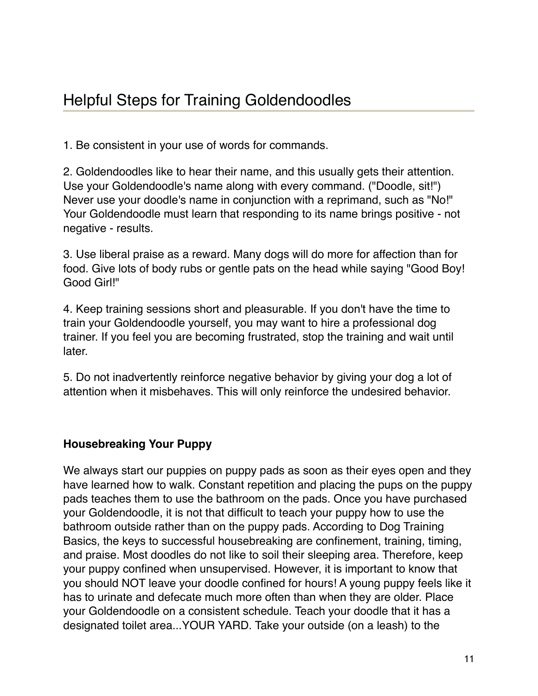1. Be consistent in your use of words for commands.

2. Goldendoodles like to hear their name, and this usually gets their attention. Use your Goldendoodle's name along with every command. ("Doodle, sit!") Never use your doodle's name in conjunction with a reprimand, such as "No!" Your Goldendoodle must learn that responding to its name brings positive - not negative - results.

3. Use liberal praise as a reward. Many dogs will do more for affection than for food. Give lots of body rubs or gentle pats on the head while saying "Good Boy! Good Girl!"

4. Keep training sessions short and pleasurable. If you don't have the time to train your Goldendoodle yourself, you may want to hire a professional dog trainer. If you feel you are becoming frustrated, stop the training and wait until later.

5. Do not inadvertently reinforce negative behavior by giving your dog a lot of attention when it misbehaves. This will only reinforce the undesired behavior.

#### **Housebreaking Your Puppy**

We always start our puppies on puppy pads as soon as their eyes open and they have learned how to walk. Constant repetition and placing the pups on the puppy pads teaches them to use the bathroom on the pads. Once you have purchased your Goldendoodle, it is not that difficult to teach your puppy how to use the bathroom outside rather than on the puppy pads. According to Dog Training Basics, the keys to successful housebreaking are confinement, training, timing, and praise. Most doodles do not like to soil their sleeping area. Therefore, keep your puppy confined when unsupervised. However, it is important to know that you should NOT leave your doodle confined for hours! A young puppy feels like it has to urinate and defecate much more often than when they are older. Place your Goldendoodle on a consistent schedule. Teach your doodle that it has a designated toilet area...YOUR YARD. Take your outside (on a leash) to the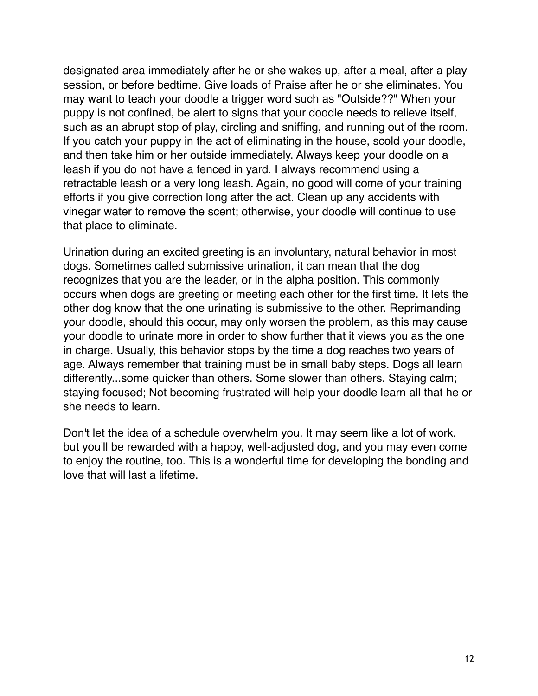designated area immediately after he or she wakes up, after a meal, after a play session, or before bedtime. Give loads of Praise after he or she eliminates. You may want to teach your doodle a trigger word such as "Outside??" When your puppy is not confined, be alert to signs that your doodle needs to relieve itself, such as an abrupt stop of play, circling and sniffing, and running out of the room. If you catch your puppy in the act of eliminating in the house, scold your doodle, and then take him or her outside immediately. Always keep your doodle on a leash if you do not have a fenced in yard. I always recommend using a retractable leash or a very long leash. Again, no good will come of your training efforts if you give correction long after the act. Clean up any accidents with vinegar water to remove the scent; otherwise, your doodle will continue to use that place to eliminate.

Urination during an excited greeting is an involuntary, natural behavior in most dogs. Sometimes called submissive urination, it can mean that the dog recognizes that you are the leader, or in the alpha position. This commonly occurs when dogs are greeting or meeting each other for the first time. It lets the other dog know that the one urinating is submissive to the other. Reprimanding your doodle, should this occur, may only worsen the problem, as this may cause your doodle to urinate more in order to show further that it views you as the one in charge. Usually, this behavior stops by the time a dog reaches two years of age. Always remember that training must be in small baby steps. Dogs all learn differently...some quicker than others. Some slower than others. Staying calm; staying focused; Not becoming frustrated will help your doodle learn all that he or she needs to learn.

Don't let the idea of a schedule overwhelm you. It may seem like a lot of work, but you'll be rewarded with a [happy, well-adjusted dog,](http://www.akc.org/learn/family-dog/healthy-happy/) and you may even come to enjoy the routine, too. This is a wonderful time for developing the bonding and love that will last a lifetime.